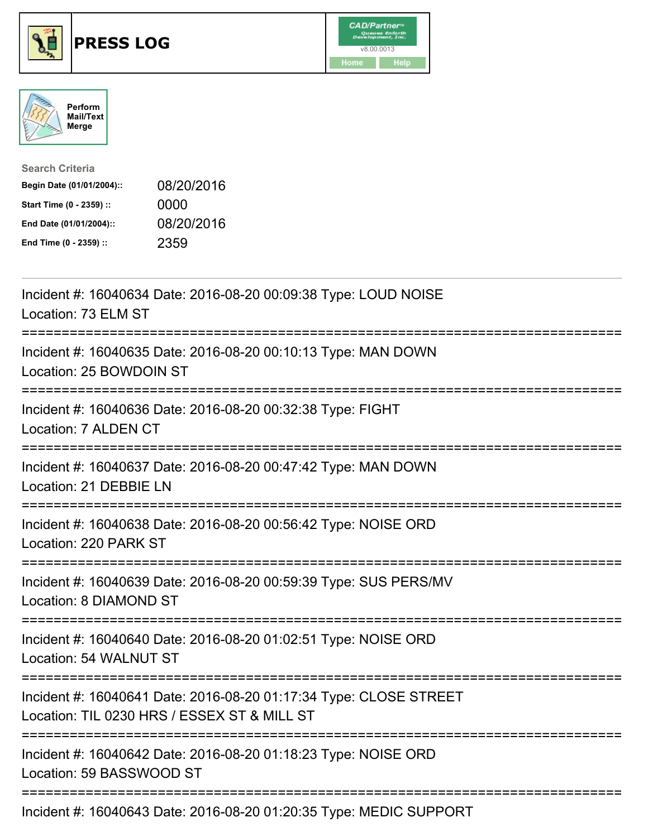





| <b>Search Criteria</b>    |            |
|---------------------------|------------|
| Begin Date (01/01/2004):: | 08/20/2016 |
| Start Time (0 - 2359) ::  | 0000       |
| End Date (01/01/2004)::   | 08/20/2016 |
| End Time (0 - 2359) ::    | 2359       |

| Incident #: 16040634 Date: 2016-08-20 00:09:38 Type: LOUD NOISE<br>Location: 73 ELM ST                                                                   |
|----------------------------------------------------------------------------------------------------------------------------------------------------------|
| Incident #: 16040635 Date: 2016-08-20 00:10:13 Type: MAN DOWN<br>Location: 25 BOWDOIN ST                                                                 |
| Incident #: 16040636 Date: 2016-08-20 00:32:38 Type: FIGHT<br>Location: 7 ALDEN CT                                                                       |
| Incident #: 16040637 Date: 2016-08-20 00:47:42 Type: MAN DOWN<br>Location: 21 DEBBIE LN                                                                  |
| Incident #: 16040638 Date: 2016-08-20 00:56:42 Type: NOISE ORD<br>Location: 220 PARK ST                                                                  |
| Incident #: 16040639 Date: 2016-08-20 00:59:39 Type: SUS PERS/MV<br>Location: 8 DIAMOND ST                                                               |
| Incident #: 16040640 Date: 2016-08-20 01:02:51 Type: NOISE ORD<br>Location: 54 WALNUT ST                                                                 |
| Incident #: 16040641 Date: 2016-08-20 01:17:34 Type: CLOSE STREET<br>Location: TIL 0230 HRS / ESSEX ST & MILL ST<br>;=================================== |
| Incident #: 16040642 Date: 2016-08-20 01:18:23 Type: NOISE ORD<br>Location: 59 BASSWOOD ST                                                               |
| Incident #: 16040643 Date: 2016-08-20 01:20:35 Type: MEDIC SUPPORT                                                                                       |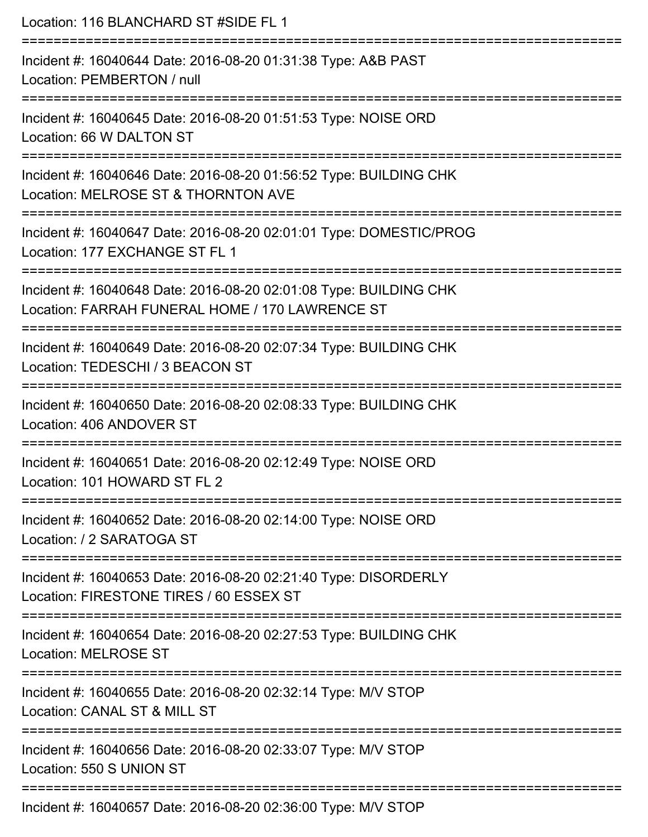| Location: 116 BLANCHARD ST #SIDE FL 1                                                                                                          |
|------------------------------------------------------------------------------------------------------------------------------------------------|
| Incident #: 16040644 Date: 2016-08-20 01:31:38 Type: A&B PAST<br>Location: PEMBERTON / null                                                    |
| Incident #: 16040645 Date: 2016-08-20 01:51:53 Type: NOISE ORD<br>Location: 66 W DALTON ST                                                     |
| Incident #: 16040646 Date: 2016-08-20 01:56:52 Type: BUILDING CHK<br>Location: MELROSE ST & THORNTON AVE<br>.--------------------------------- |
| Incident #: 16040647 Date: 2016-08-20 02:01:01 Type: DOMESTIC/PROG<br>Location: 177 EXCHANGE ST FL 1                                           |
| Incident #: 16040648 Date: 2016-08-20 02:01:08 Type: BUILDING CHK<br>Location: FARRAH FUNERAL HOME / 170 LAWRENCE ST                           |
| Incident #: 16040649 Date: 2016-08-20 02:07:34 Type: BUILDING CHK<br>Location: TEDESCHI / 3 BEACON ST                                          |
| Incident #: 16040650 Date: 2016-08-20 02:08:33 Type: BUILDING CHK<br>Location: 406 ANDOVER ST                                                  |
| Incident #: 16040651 Date: 2016-08-20 02:12:49 Type: NOISE ORD<br>Location: 101 HOWARD ST FL 2                                                 |
| Incident #: 16040652 Date: 2016-08-20 02:14:00 Type: NOISE ORD<br>Location: / 2 SARATOGA ST                                                    |
| Incident #: 16040653 Date: 2016-08-20 02:21:40 Type: DISORDERLY<br>Location: FIRESTONE TIRES / 60 ESSEX ST                                     |
| Incident #: 16040654 Date: 2016-08-20 02:27:53 Type: BUILDING CHK<br><b>Location: MELROSE ST</b>                                               |
| Incident #: 16040655 Date: 2016-08-20 02:32:14 Type: M/V STOP<br>Location: CANAL ST & MILL ST                                                  |
| Incident #: 16040656 Date: 2016-08-20 02:33:07 Type: M/V STOP<br>Location: 550 S UNION ST                                                      |
| Incident #: 16040657 Date: 2016-08-20 02:36:00 Type: M/V STOP                                                                                  |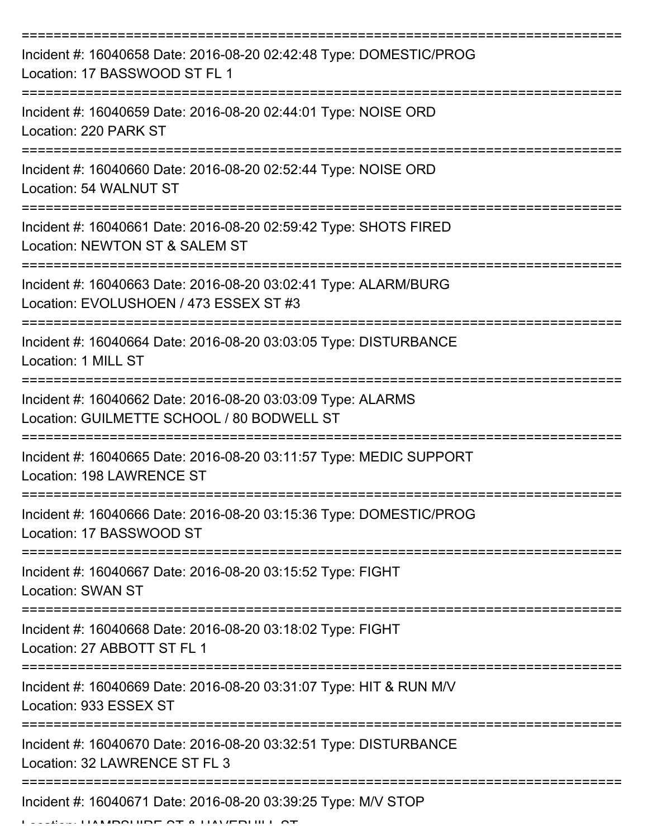| Incident #: 16040658 Date: 2016-08-20 02:42:48 Type: DOMESTIC/PROG<br>Location: 17 BASSWOOD ST FL 1                    |
|------------------------------------------------------------------------------------------------------------------------|
| Incident #: 16040659 Date: 2016-08-20 02:44:01 Type: NOISE ORD<br>Location: 220 PARK ST                                |
| Incident #: 16040660 Date: 2016-08-20 02:52:44 Type: NOISE ORD<br>Location: 54 WALNUT ST                               |
| Incident #: 16040661 Date: 2016-08-20 02:59:42 Type: SHOTS FIRED<br>Location: NEWTON ST & SALEM ST                     |
| Incident #: 16040663 Date: 2016-08-20 03:02:41 Type: ALARM/BURG<br>Location: EVOLUSHOEN / 473 ESSEX ST #3              |
| =================<br>Incident #: 16040664 Date: 2016-08-20 03:03:05 Type: DISTURBANCE<br>Location: 1 MILL ST           |
| Incident #: 16040662 Date: 2016-08-20 03:03:09 Type: ALARMS<br>Location: GUILMETTE SCHOOL / 80 BODWELL ST              |
| Incident #: 16040665 Date: 2016-08-20 03:11:57 Type: MEDIC SUPPORT<br>Location: 198 LAWRENCE ST                        |
| Incident #: 16040666 Date: 2016-08-20 03:15:36 Type: DOMESTIC/PROG<br>Location: 17 BASSWOOD ST                         |
| Incident #: 16040667 Date: 2016-08-20 03:15:52 Type: FIGHT<br><b>Location: SWAN ST</b>                                 |
| =========================<br>Incident #: 16040668 Date: 2016-08-20 03:18:02 Type: FIGHT<br>Location: 27 ABBOTT ST FL 1 |
| Incident #: 16040669 Date: 2016-08-20 03:31:07 Type: HIT & RUN M/V<br>Location: 933 ESSEX ST                           |
| Incident #: 16040670 Date: 2016-08-20 03:32:51 Type: DISTURBANCE<br>Location: 32 LAWRENCE ST FL 3                      |
| Incident #: 16040671 Date: 2016-08-20 03:39:25 Type: M/V STOP                                                          |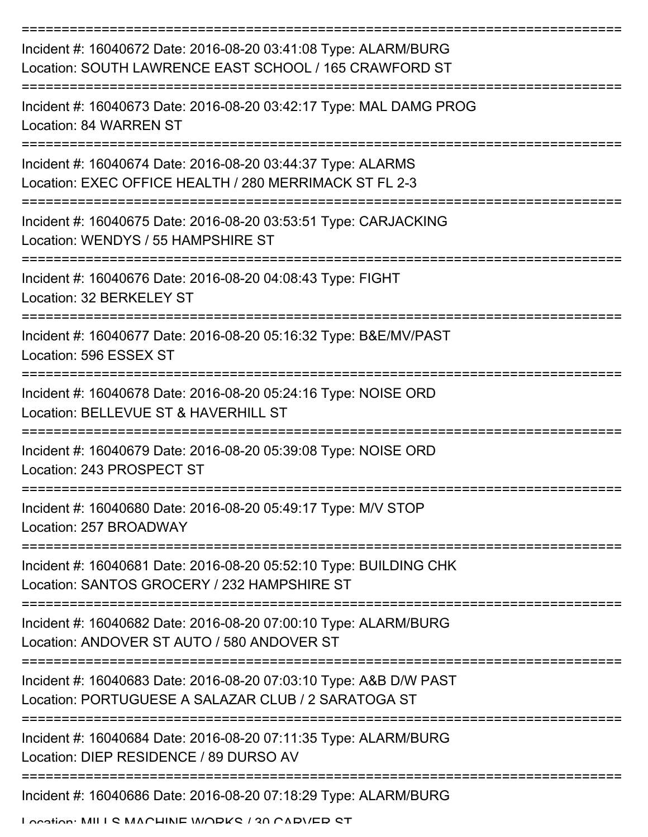| Incident #: 16040672 Date: 2016-08-20 03:41:08 Type: ALARM/BURG<br>Location: SOUTH LAWRENCE EAST SCHOOL / 165 CRAWFORD ST |
|---------------------------------------------------------------------------------------------------------------------------|
| Incident #: 16040673 Date: 2016-08-20 03:42:17 Type: MAL DAMG PROG<br>Location: 84 WARREN ST                              |
| Incident #: 16040674 Date: 2016-08-20 03:44:37 Type: ALARMS<br>Location: EXEC OFFICE HEALTH / 280 MERRIMACK ST FL 2-3     |
| Incident #: 16040675 Date: 2016-08-20 03:53:51 Type: CARJACKING<br>Location: WENDYS / 55 HAMPSHIRE ST                     |
| Incident #: 16040676 Date: 2016-08-20 04:08:43 Type: FIGHT<br>Location: 32 BERKELEY ST                                    |
| Incident #: 16040677 Date: 2016-08-20 05:16:32 Type: B&E/MV/PAST<br>Location: 596 ESSEX ST                                |
| Incident #: 16040678 Date: 2016-08-20 05:24:16 Type: NOISE ORD<br>Location: BELLEVUE ST & HAVERHILL ST                    |
| Incident #: 16040679 Date: 2016-08-20 05:39:08 Type: NOISE ORD<br>Location: 243 PROSPECT ST                               |
| Incident #: 16040680 Date: 2016-08-20 05:49:17 Type: M/V STOP<br>Location: 257 BROADWAY                                   |
| Incident #: 16040681 Date: 2016-08-20 05:52:10 Type: BUILDING CHK<br>Location: SANTOS GROCERY / 232 HAMPSHIRE ST          |
| Incident #: 16040682 Date: 2016-08-20 07:00:10 Type: ALARM/BURG<br>Location: ANDOVER ST AUTO / 580 ANDOVER ST             |
| Incident #: 16040683 Date: 2016-08-20 07:03:10 Type: A&B D/W PAST<br>Location: PORTUGUESE A SALAZAR CLUB / 2 SARATOGA ST  |
| Incident #: 16040684 Date: 2016-08-20 07:11:35 Type: ALARM/BURG<br>Location: DIEP RESIDENCE / 89 DURSO AV                 |
| Incident #: 16040686 Date: 2016-08-20 07:18:29 Type: ALARM/BURG                                                           |

Location: MILLS MACHINE MODKS / 30 CADVED ST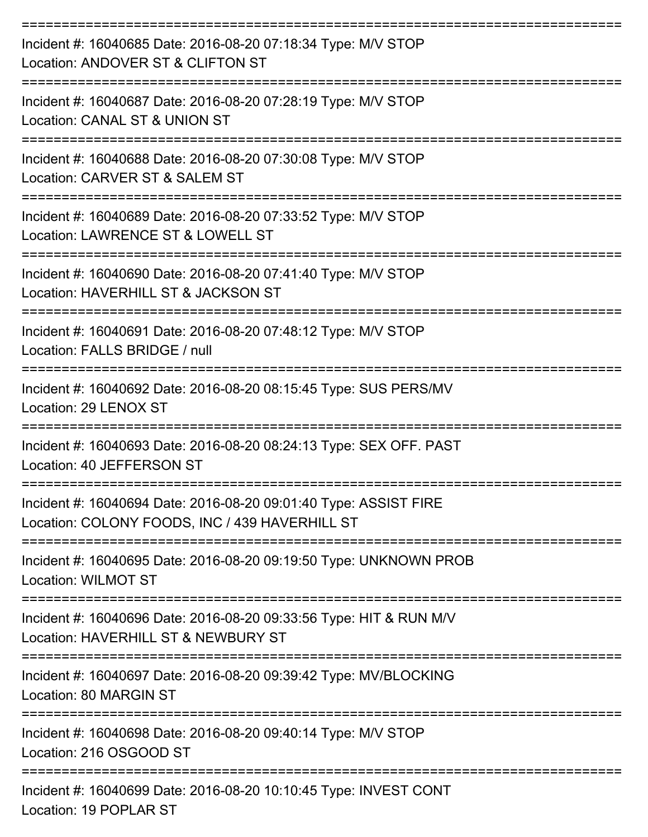| Incident #: 16040685 Date: 2016-08-20 07:18:34 Type: M/V STOP<br>Location: ANDOVER ST & CLIFTON ST                 |
|--------------------------------------------------------------------------------------------------------------------|
| Incident #: 16040687 Date: 2016-08-20 07:28:19 Type: M/V STOP<br>Location: CANAL ST & UNION ST                     |
| Incident #: 16040688 Date: 2016-08-20 07:30:08 Type: M/V STOP<br>Location: CARVER ST & SALEM ST                    |
| Incident #: 16040689 Date: 2016-08-20 07:33:52 Type: M/V STOP<br>Location: LAWRENCE ST & LOWELL ST                 |
| Incident #: 16040690 Date: 2016-08-20 07:41:40 Type: M/V STOP<br>Location: HAVERHILL ST & JACKSON ST               |
| Incident #: 16040691 Date: 2016-08-20 07:48:12 Type: M/V STOP<br>Location: FALLS BRIDGE / null                     |
| Incident #: 16040692 Date: 2016-08-20 08:15:45 Type: SUS PERS/MV<br>Location: 29 LENOX ST                          |
| Incident #: 16040693 Date: 2016-08-20 08:24:13 Type: SEX OFF. PAST<br>Location: 40 JEFFERSON ST                    |
| Incident #: 16040694 Date: 2016-08-20 09:01:40 Type: ASSIST FIRE<br>Location: COLONY FOODS, INC / 439 HAVERHILL ST |
| Incident #: 16040695 Date: 2016-08-20 09:19:50 Type: UNKNOWN PROB<br><b>Location: WILMOT ST</b>                    |
| Incident #: 16040696 Date: 2016-08-20 09:33:56 Type: HIT & RUN M/V<br>Location: HAVERHILL ST & NEWBURY ST          |
| Incident #: 16040697 Date: 2016-08-20 09:39:42 Type: MV/BLOCKING<br>Location: 80 MARGIN ST                         |
| Incident #: 16040698 Date: 2016-08-20 09:40:14 Type: M/V STOP<br>Location: 216 OSGOOD ST                           |
| Incident #: 16040699 Date: 2016-08-20 10:10:45 Type: INVEST CONT<br>Location: 19 POPLAR ST                         |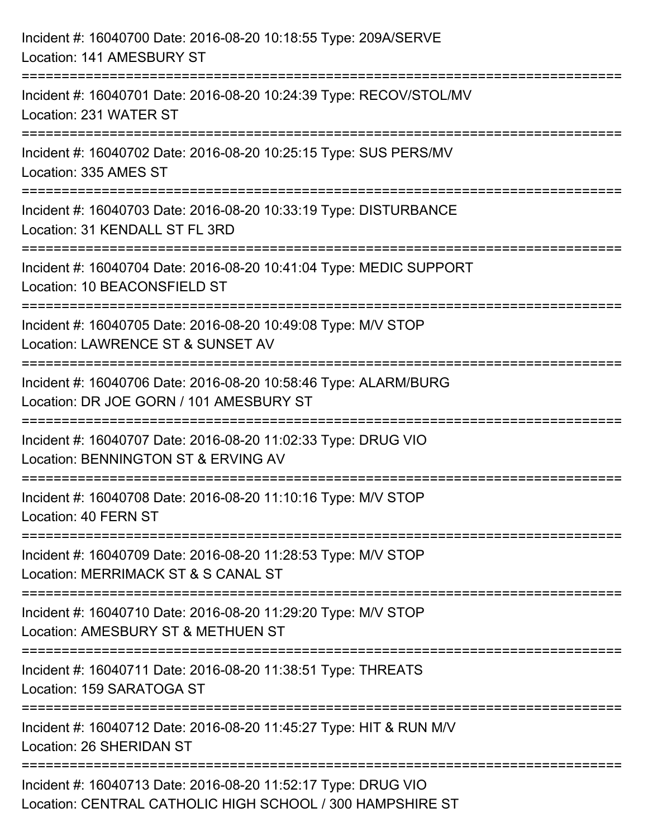| Incident #: 16040700 Date: 2016-08-20 10:18:55 Type: 209A/SERVE<br>Location: 141 AMESBURY ST                                |
|-----------------------------------------------------------------------------------------------------------------------------|
| Incident #: 16040701 Date: 2016-08-20 10:24:39 Type: RECOV/STOL/MV<br>Location: 231 WATER ST                                |
| Incident #: 16040702 Date: 2016-08-20 10:25:15 Type: SUS PERS/MV<br>Location: 335 AMES ST                                   |
| Incident #: 16040703 Date: 2016-08-20 10:33:19 Type: DISTURBANCE<br>Location: 31 KENDALL ST FL 3RD<br>--------------------- |
| Incident #: 16040704 Date: 2016-08-20 10:41:04 Type: MEDIC SUPPORT<br>Location: 10 BEACONSFIELD ST                          |
| Incident #: 16040705 Date: 2016-08-20 10:49:08 Type: M/V STOP<br>Location: LAWRENCE ST & SUNSET AV                          |
| Incident #: 16040706 Date: 2016-08-20 10:58:46 Type: ALARM/BURG<br>Location: DR JOE GORN / 101 AMESBURY ST                  |
| Incident #: 16040707 Date: 2016-08-20 11:02:33 Type: DRUG VIO<br>Location: BENNINGTON ST & ERVING AV                        |
| Incident #: 16040708 Date: 2016-08-20 11:10:16 Type: M/V STOP<br>Location: 40 FERN ST                                       |
| Incident #: 16040709 Date: 2016-08-20 11:28:53 Type: M/V STOP<br>Location: MERRIMACK ST & S CANAL ST                        |
| Incident #: 16040710 Date: 2016-08-20 11:29:20 Type: M/V STOP<br>Location: AMESBURY ST & METHUEN ST                         |
| --------------------------<br>Incident #: 16040711 Date: 2016-08-20 11:38:51 Type: THREATS<br>Location: 159 SARATOGA ST     |
| Incident #: 16040712 Date: 2016-08-20 11:45:27 Type: HIT & RUN M/V<br>Location: 26 SHERIDAN ST                              |
| Incident #: 16040713 Date: 2016-08-20 11:52:17 Type: DRUG VIO<br>Location: CENTRAL CATHOLIC HIGH SCHOOL / 300 HAMPSHIRE ST  |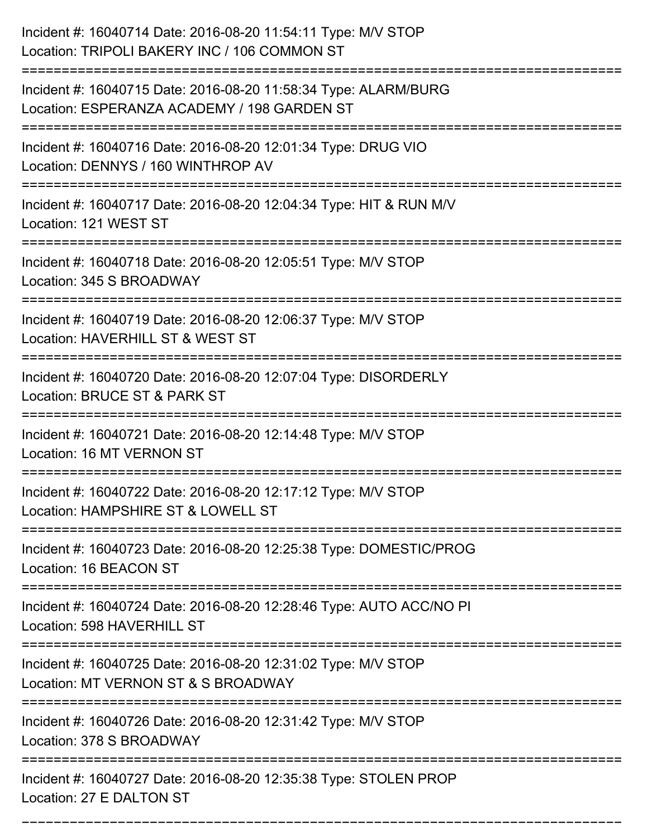| Incident #: 16040714 Date: 2016-08-20 11:54:11 Type: M/V STOP<br>Location: TRIPOLI BAKERY INC / 106 COMMON ST                |
|------------------------------------------------------------------------------------------------------------------------------|
| Incident #: 16040715 Date: 2016-08-20 11:58:34 Type: ALARM/BURG<br>Location: ESPERANZA ACADEMY / 198 GARDEN ST               |
| Incident #: 16040716 Date: 2016-08-20 12:01:34 Type: DRUG VIO<br>Location: DENNYS / 160 WINTHROP AV<br>;==================== |
| Incident #: 16040717 Date: 2016-08-20 12:04:34 Type: HIT & RUN M/V<br>Location: 121 WEST ST                                  |
| Incident #: 16040718 Date: 2016-08-20 12:05:51 Type: M/V STOP<br>Location: 345 S BROADWAY                                    |
| Incident #: 16040719 Date: 2016-08-20 12:06:37 Type: M/V STOP<br>Location: HAVERHILL ST & WEST ST                            |
| Incident #: 16040720 Date: 2016-08-20 12:07:04 Type: DISORDERLY<br>Location: BRUCE ST & PARK ST                              |
| Incident #: 16040721 Date: 2016-08-20 12:14:48 Type: M/V STOP<br>Location: 16 MT VERNON ST                                   |
| Incident #: 16040722 Date: 2016-08-20 12:17:12 Type: M/V STOP<br>Location: HAMPSHIRE ST & LOWELL ST                          |
| Incident #: 16040723 Date: 2016-08-20 12:25:38 Type: DOMESTIC/PROG<br>Location: 16 BEACON ST                                 |
| Incident #: 16040724 Date: 2016-08-20 12:28:46 Type: AUTO ACC/NO PI<br>Location: 598 HAVERHILL ST                            |
| Incident #: 16040725 Date: 2016-08-20 12:31:02 Type: M/V STOP<br>Location: MT VERNON ST & S BROADWAY                         |
| Incident #: 16040726 Date: 2016-08-20 12:31:42 Type: M/V STOP<br>Location: 378 S BROADWAY                                    |
| Incident #: 16040727 Date: 2016-08-20 12:35:38 Type: STOLEN PROP<br>Location: 27 E DALTON ST                                 |

===========================================================================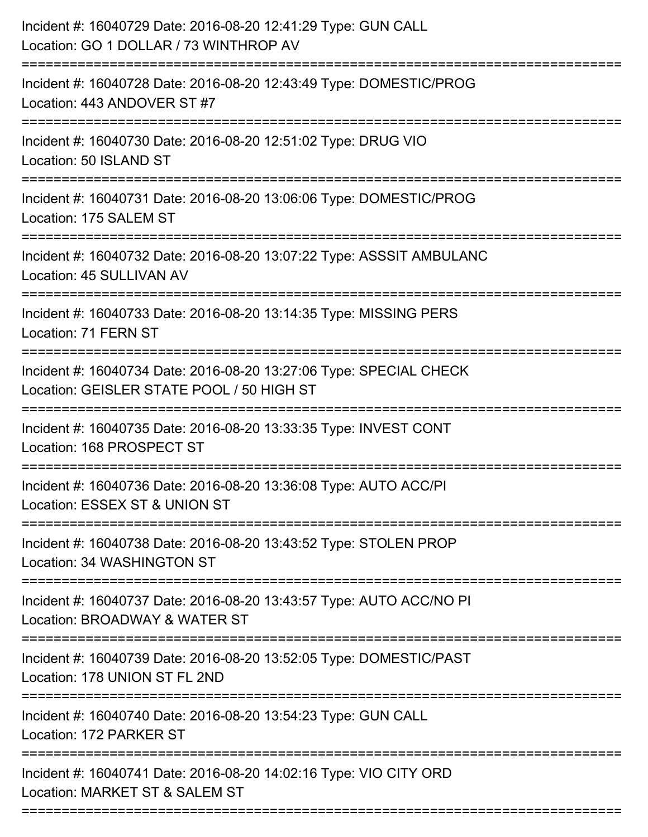| Incident #: 16040729 Date: 2016-08-20 12:41:29 Type: GUN CALL<br>Location: GO 1 DOLLAR / 73 WINTHROP AV                             |
|-------------------------------------------------------------------------------------------------------------------------------------|
| Incident #: 16040728 Date: 2016-08-20 12:43:49 Type: DOMESTIC/PROG<br>Location: 443 ANDOVER ST #7                                   |
| Incident #: 16040730 Date: 2016-08-20 12:51:02 Type: DRUG VIO<br>Location: 50 ISLAND ST                                             |
| Incident #: 16040731 Date: 2016-08-20 13:06:06 Type: DOMESTIC/PROG<br>Location: 175 SALEM ST                                        |
| Incident #: 16040732 Date: 2016-08-20 13:07:22 Type: ASSSIT AMBULANC<br>Location: 45 SULLIVAN AV                                    |
| Incident #: 16040733 Date: 2016-08-20 13:14:35 Type: MISSING PERS<br>Location: 71 FERN ST                                           |
| Incident #: 16040734 Date: 2016-08-20 13:27:06 Type: SPECIAL CHECK<br>Location: GEISLER STATE POOL / 50 HIGH ST<br>================ |
| Incident #: 16040735 Date: 2016-08-20 13:33:35 Type: INVEST CONT<br>Location: 168 PROSPECT ST                                       |
| Incident #: 16040736 Date: 2016-08-20 13:36:08 Type: AUTO ACC/PI<br>Location: ESSEX ST & UNION ST                                   |
| Incident #: 16040738 Date: 2016-08-20 13:43:52 Type: STOLEN PROP<br>Location: 34 WASHINGTON ST                                      |
| Incident #: 16040737 Date: 2016-08-20 13:43:57 Type: AUTO ACC/NO PI<br>Location: BROADWAY & WATER ST                                |
| Incident #: 16040739 Date: 2016-08-20 13:52:05 Type: DOMESTIC/PAST<br>Location: 178 UNION ST FL 2ND                                 |
| Incident #: 16040740 Date: 2016-08-20 13:54:23 Type: GUN CALL<br>Location: 172 PARKER ST                                            |
| Incident #: 16040741 Date: 2016-08-20 14:02:16 Type: VIO CITY ORD<br>Location: MARKET ST & SALEM ST                                 |
|                                                                                                                                     |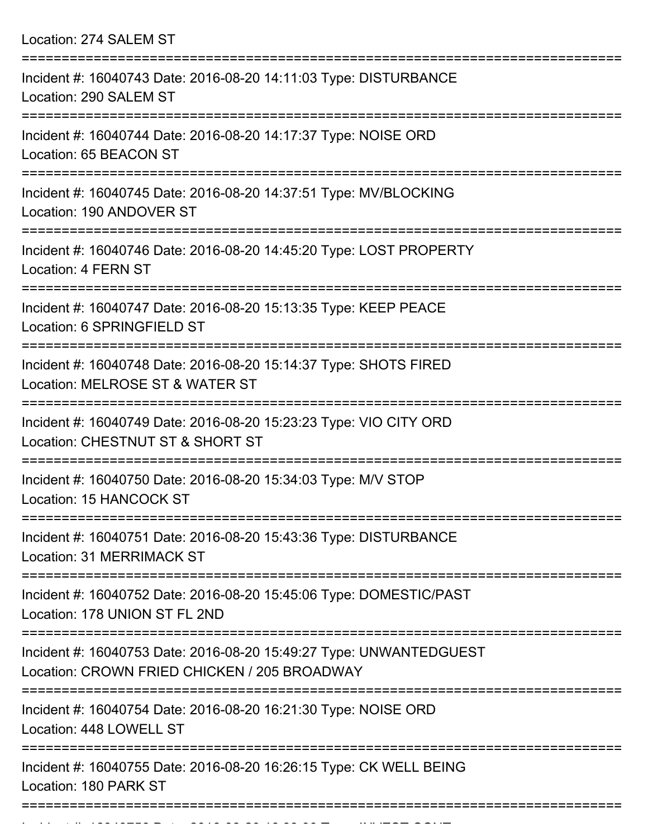Location: 274 SALEM ST =========================================================================== Incident #: 16040743 Date: 2016-08-20 14:11:03 Type: DISTURBANCE Location: 290 SALEM ST =========================================================================== Incident #: 16040744 Date: 2016-08-20 14:17:37 Type: NOISE ORD Location: 65 BEACON ST =========================================================================== Incident #: 16040745 Date: 2016-08-20 14:37:51 Type: MV/BLOCKING Location: 190 ANDOVER ST =========================================================================== Incident #: 16040746 Date: 2016-08-20 14:45:20 Type: LOST PROPERTY Location: 4 FERN ST =========================================================================== Incident #: 16040747 Date: 2016-08-20 15:13:35 Type: KEEP PEACE Location: 6 SPRINGFIELD ST =========================================================================== Incident #: 16040748 Date: 2016-08-20 15:14:37 Type: SHOTS FIRED Location: MELROSE ST & WATER ST =========================================================================== Incident #: 16040749 Date: 2016-08-20 15:23:23 Type: VIO CITY ORD Location: CHESTNUT ST & SHORT ST =========================================================================== Incident #: 16040750 Date: 2016-08-20 15:34:03 Type: M/V STOP Location: 15 HANCOCK ST =========================================================================== Incident #: 16040751 Date: 2016-08-20 15:43:36 Type: DISTURBANCE Location: 31 MERRIMACK ST =========================================================================== Incident #: 16040752 Date: 2016-08-20 15:45:06 Type: DOMESTIC/PAST Location: 178 UNION ST FL 2ND =========================================================================== Incident #: 16040753 Date: 2016-08-20 15:49:27 Type: UNWANTEDGUEST Location: CROWN FRIED CHICKEN / 205 BROADWAY =========================================================================== Incident #: 16040754 Date: 2016-08-20 16:21:30 Type: NOISE ORD Location: 448 LOWELL ST =========================================================================== Incident #: 16040755 Date: 2016-08-20 16:26:15 Type: CK WELL BEING Location: 180 PARK ST ===========================================================================

Incident #: 16040756 Date: 2016 08 20 16:33:00 Type: INVEST CONT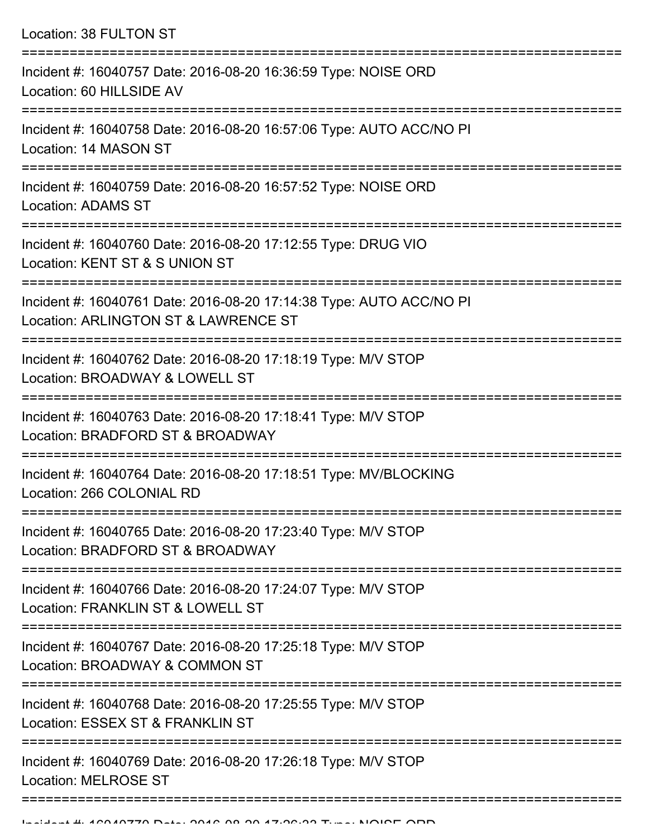| Location: 38 FULTON ST                                                                                                                |  |
|---------------------------------------------------------------------------------------------------------------------------------------|--|
| :========================<br>Incident #: 16040757 Date: 2016-08-20 16:36:59 Type: NOISE ORD<br>Location: 60 HILLSIDE AV               |  |
| Incident #: 16040758 Date: 2016-08-20 16:57:06 Type: AUTO ACC/NO PI<br>Location: 14 MASON ST<br>=========================             |  |
| Incident #: 16040759 Date: 2016-08-20 16:57:52 Type: NOISE ORD<br>Location: ADAMS ST                                                  |  |
| Incident #: 16040760 Date: 2016-08-20 17:12:55 Type: DRUG VIO<br>Location: KENT ST & S UNION ST<br>================================== |  |
| Incident #: 16040761 Date: 2016-08-20 17:14:38 Type: AUTO ACC/NO PI<br>Location: ARLINGTON ST & LAWRENCE ST                           |  |
| Incident #: 16040762 Date: 2016-08-20 17:18:19 Type: M/V STOP<br>Location: BROADWAY & LOWELL ST                                       |  |
| :===================<br>Incident #: 16040763 Date: 2016-08-20 17:18:41 Type: M/V STOP<br>Location: BRADFORD ST & BROADWAY             |  |
| Incident #: 16040764 Date: 2016-08-20 17:18:51 Type: MV/BLOCKING<br>Location: 266 COLONIAL RD                                         |  |
| =================<br>Incident #: 16040765 Date: 2016-08-20 17:23:40 Type: M/V STOP<br>Location: BRADFORD ST & BROADWAY                |  |
|                                                                                                                                       |  |

Incident #: 16040766 Date: 2016-08-20 17:24:07 Type: M/V STOP Location: FRANKLIN ST & LOWELL ST

===========================================================================

Incident #: 16040767 Date: 2016-08-20 17:25:18 Type: M/V STOP

Location: BROADWAY & COMMON ST

===========================================================================

Incident #: 16040768 Date: 2016-08-20 17:25:55 Type: M/V STOP

Location: ESSEX ST & FRANKLIN ST

===========================================================================

===========================================================================

Incident #: 16040769 Date: 2016-08-20 17:26:18 Type: M/V STOP Location: MELROSE ST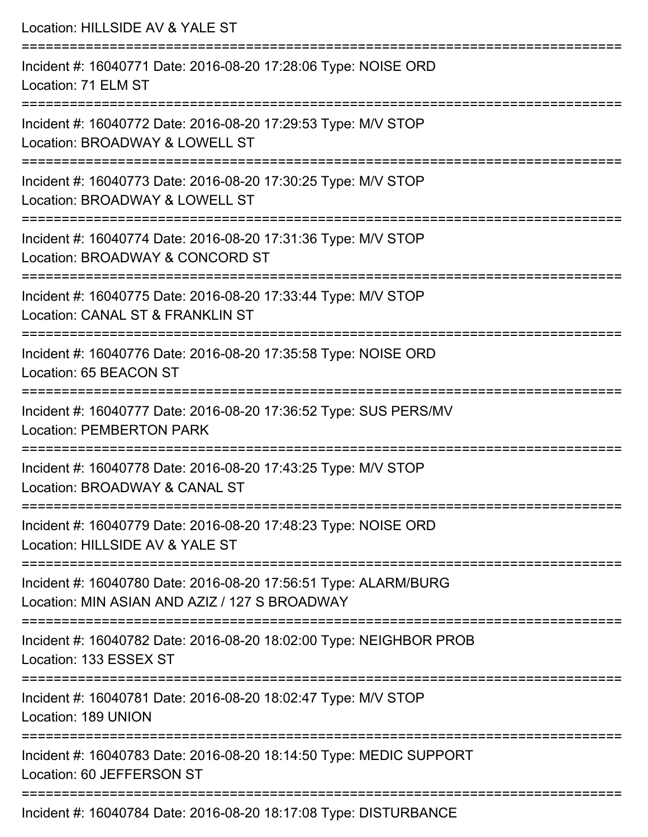| Location: HILLSIDE AV & YALE ST                                                                                                   |
|-----------------------------------------------------------------------------------------------------------------------------------|
| Incident #: 16040771 Date: 2016-08-20 17:28:06 Type: NOISE ORD<br>Location: 71 ELM ST                                             |
| Incident #: 16040772 Date: 2016-08-20 17:29:53 Type: M/V STOP<br>Location: BROADWAY & LOWELL ST                                   |
| Incident #: 16040773 Date: 2016-08-20 17:30:25 Type: M/V STOP<br>Location: BROADWAY & LOWELL ST                                   |
| Incident #: 16040774 Date: 2016-08-20 17:31:36 Type: M/V STOP<br>Location: BROADWAY & CONCORD ST                                  |
| :===========================<br>Incident #: 16040775 Date: 2016-08-20 17:33:44 Type: M/V STOP<br>Location: CANAL ST & FRANKLIN ST |
| Incident #: 16040776 Date: 2016-08-20 17:35:58 Type: NOISE ORD<br>Location: 65 BEACON ST                                          |
| Incident #: 16040777 Date: 2016-08-20 17:36:52 Type: SUS PERS/MV<br><b>Location: PEMBERTON PARK</b>                               |
| Incident #: 16040778 Date: 2016-08-20 17:43:25 Type: M/V STOP<br>Location: BROADWAY & CANAL ST                                    |
| Incident #: 16040779 Date: 2016-08-20 17:48:23 Type: NOISE ORD<br>Location: HILLSIDE AV & YALE ST                                 |
| Incident #: 16040780 Date: 2016-08-20 17:56:51 Type: ALARM/BURG<br>Location: MIN ASIAN AND AZIZ / 127 S BROADWAY                  |
| Incident #: 16040782 Date: 2016-08-20 18:02:00 Type: NEIGHBOR PROB<br>Location: 133 ESSEX ST                                      |
| Incident #: 16040781 Date: 2016-08-20 18:02:47 Type: M/V STOP<br>Location: 189 UNION                                              |
| Incident #: 16040783 Date: 2016-08-20 18:14:50 Type: MEDIC SUPPORT<br>Location: 60 JEFFERSON ST                                   |
| Incident #: 16040784 Date: 2016-08-20 18:17:08 Type: DISTURBANCE                                                                  |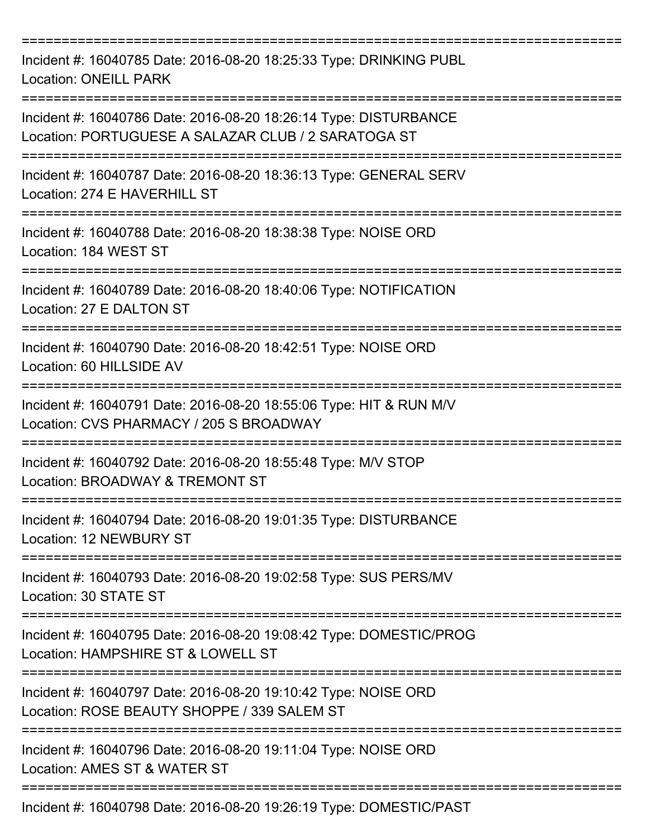| Incident #: 16040785 Date: 2016-08-20 18:25:33 Type: DRINKING PUBL<br><b>Location: ONEILL PARK</b>                                      |
|-----------------------------------------------------------------------------------------------------------------------------------------|
| Incident #: 16040786 Date: 2016-08-20 18:26:14 Type: DISTURBANCE<br>Location: PORTUGUESE A SALAZAR CLUB / 2 SARATOGA ST<br>============ |
| Incident #: 16040787 Date: 2016-08-20 18:36:13 Type: GENERAL SERV<br>Location: 274 E HAVERHILL ST                                       |
| Incident #: 16040788 Date: 2016-08-20 18:38:38 Type: NOISE ORD<br>Location: 184 WEST ST                                                 |
| Incident #: 16040789 Date: 2016-08-20 18:40:06 Type: NOTIFICATION<br>Location: 27 E DALTON ST                                           |
| Incident #: 16040790 Date: 2016-08-20 18:42:51 Type: NOISE ORD<br>Location: 60 HILLSIDE AV                                              |
| Incident #: 16040791 Date: 2016-08-20 18:55:06 Type: HIT & RUN M/V<br>Location: CVS PHARMACY / 205 S BROADWAY                           |
| Incident #: 16040792 Date: 2016-08-20 18:55:48 Type: M/V STOP<br>Location: BROADWAY & TREMONT ST<br>----------------                    |
| Incident #: 16040794 Date: 2016-08-20 19:01:35 Type: DISTURBANCE<br>Location: 12 NEWBURY ST                                             |
| Incident #: 16040793 Date: 2016-08-20 19:02:58 Type: SUS PERS/MV<br>Location: 30 STATE ST                                               |
| Incident #: 16040795 Date: 2016-08-20 19:08:42 Type: DOMESTIC/PROG<br>Location: HAMPSHIRE ST & LOWELL ST                                |
| Incident #: 16040797 Date: 2016-08-20 19:10:42 Type: NOISE ORD<br>Location: ROSE BEAUTY SHOPPE / 339 SALEM ST                           |
| Incident #: 16040796 Date: 2016-08-20 19:11:04 Type: NOISE ORD<br>Location: AMES ST & WATER ST                                          |
| Incident #: 16040798 Date: 2016-08-20 19:26:19 Type: DOMESTIC/PAST                                                                      |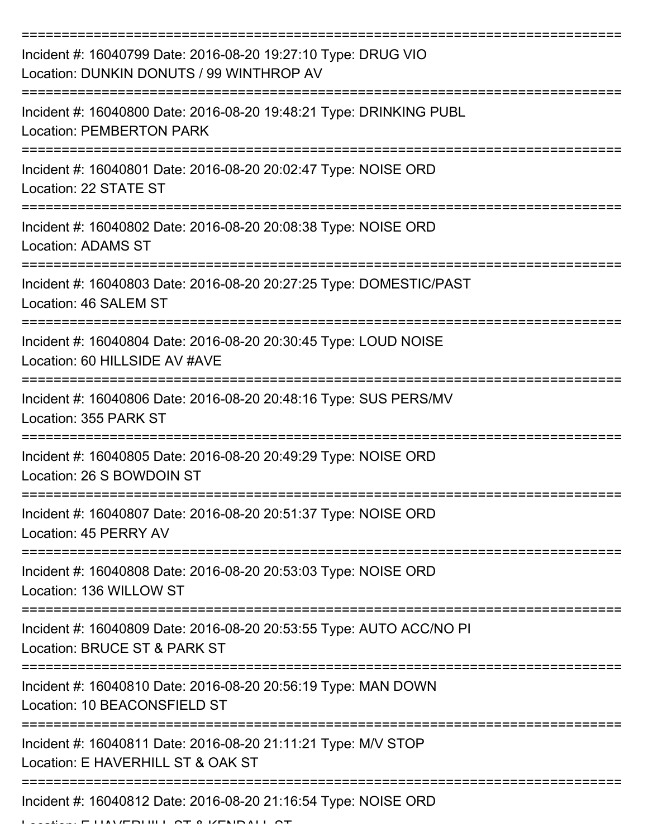| Incident #: 16040799 Date: 2016-08-20 19:27:10 Type: DRUG VIO<br>Location: DUNKIN DONUTS / 99 WINTHROP AV        |
|------------------------------------------------------------------------------------------------------------------|
| Incident #: 16040800 Date: 2016-08-20 19:48:21 Type: DRINKING PUBL<br><b>Location: PEMBERTON PARK</b>            |
| Incident #: 16040801 Date: 2016-08-20 20:02:47 Type: NOISE ORD<br>Location: 22 STATE ST                          |
| Incident #: 16040802 Date: 2016-08-20 20:08:38 Type: NOISE ORD<br>Location: ADAMS ST                             |
| Incident #: 16040803 Date: 2016-08-20 20:27:25 Type: DOMESTIC/PAST<br>Location: 46 SALEM ST                      |
| Incident #: 16040804 Date: 2016-08-20 20:30:45 Type: LOUD NOISE<br>Location: 60 HILLSIDE AV #AVE                 |
| Incident #: 16040806 Date: 2016-08-20 20:48:16 Type: SUS PERS/MV<br>Location: 355 PARK ST                        |
| Incident #: 16040805 Date: 2016-08-20 20:49:29 Type: NOISE ORD<br>Location: 26 S BOWDOIN ST                      |
| Incident #: 16040807 Date: 2016-08-20 20:51:37 Type: NOISE ORD<br>Location: 45 PERRY AV                          |
| ===================<br>Incident #: 16040808 Date: 2016-08-20 20:53:03 Type: NOISE ORD<br>Location: 136 WILLOW ST |
| Incident #: 16040809 Date: 2016-08-20 20:53:55 Type: AUTO ACC/NO PI<br>Location: BRUCE ST & PARK ST              |
| Incident #: 16040810 Date: 2016-08-20 20:56:19 Type: MAN DOWN<br>Location: 10 BEACONSFIELD ST                    |
| Incident #: 16040811 Date: 2016-08-20 21:11:21 Type: M/V STOP<br>Location: E HAVERHILL ST & OAK ST               |
| Incident #: 16040812 Date: 2016-08-20 21:16:54 Type: NOISE ORD                                                   |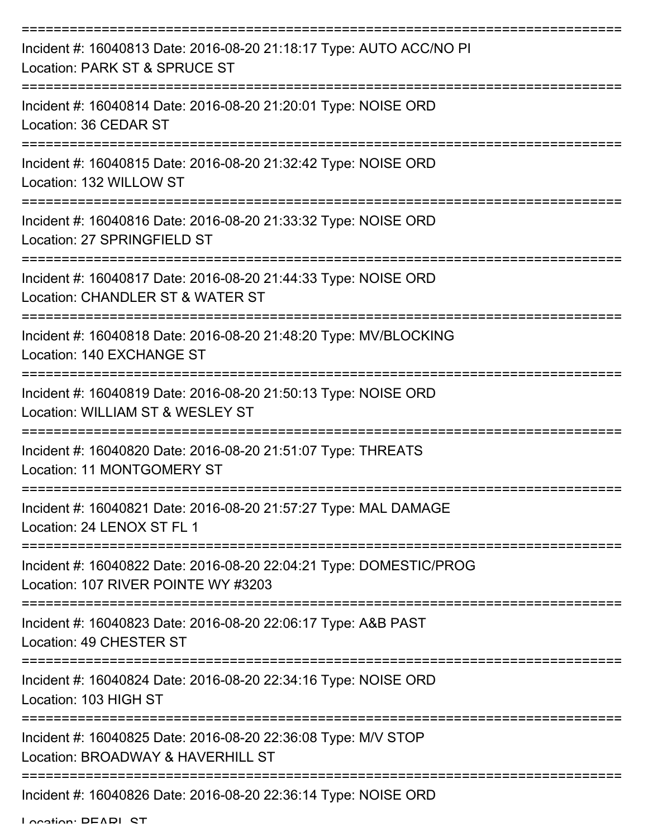| Incident #: 16040813 Date: 2016-08-20 21:18:17 Type: AUTO ACC/NO PI<br>Location: PARK ST & SPRUCE ST                            |
|---------------------------------------------------------------------------------------------------------------------------------|
| Incident #: 16040814 Date: 2016-08-20 21:20:01 Type: NOISE ORD<br>Location: 36 CEDAR ST                                         |
| Incident #: 16040815 Date: 2016-08-20 21:32:42 Type: NOISE ORD<br>Location: 132 WILLOW ST                                       |
| Incident #: 16040816 Date: 2016-08-20 21:33:32 Type: NOISE ORD<br>Location: 27 SPRINGFIELD ST                                   |
| Incident #: 16040817 Date: 2016-08-20 21:44:33 Type: NOISE ORD<br>Location: CHANDLER ST & WATER ST                              |
| Incident #: 16040818 Date: 2016-08-20 21:48:20 Type: MV/BLOCKING<br>Location: 140 EXCHANGE ST                                   |
| Incident #: 16040819 Date: 2016-08-20 21:50:13 Type: NOISE ORD<br>Location: WILLIAM ST & WESLEY ST                              |
| Incident #: 16040820 Date: 2016-08-20 21:51:07 Type: THREATS<br>Location: 11 MONTGOMERY ST                                      |
| Incident #: 16040821 Date: 2016-08-20 21:57:27 Type: MAL DAMAGE<br>Location: 24 LENOX ST FL 1                                   |
| Incident #: 16040822 Date: 2016-08-20 22:04:21 Type: DOMESTIC/PROG<br>Location: 107 RIVER POINTE WY #3203                       |
| Incident #: 16040823 Date: 2016-08-20 22:06:17 Type: A&B PAST<br>Location: 49 CHESTER ST                                        |
| ------------------------------------<br>Incident #: 16040824 Date: 2016-08-20 22:34:16 Type: NOISE ORD<br>Location: 103 HIGH ST |
| Incident #: 16040825 Date: 2016-08-20 22:36:08 Type: M/V STOP<br>Location: BROADWAY & HAVERHILL ST                              |
| Incident #: 16040826 Date: 2016-08-20 22:36:14 Type: NOISE ORD                                                                  |

Location: DEADL ST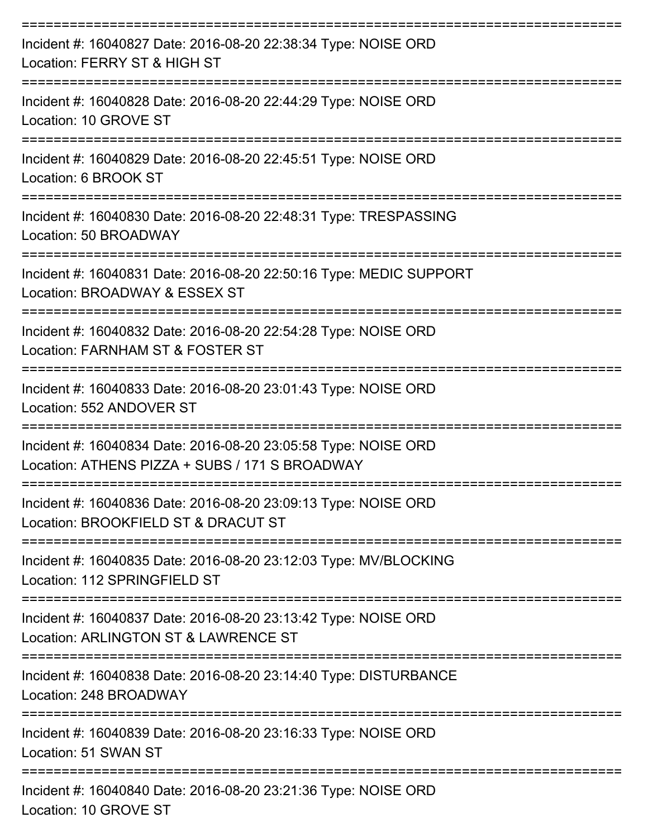| Incident #: 16040827 Date: 2016-08-20 22:38:34 Type: NOISE ORD<br>Location: FERRY ST & HIGH ST                   |
|------------------------------------------------------------------------------------------------------------------|
| Incident #: 16040828 Date: 2016-08-20 22:44:29 Type: NOISE ORD<br>Location: 10 GROVE ST                          |
| Incident #: 16040829 Date: 2016-08-20 22:45:51 Type: NOISE ORD<br>Location: 6 BROOK ST                           |
| Incident #: 16040830 Date: 2016-08-20 22:48:31 Type: TRESPASSING<br>Location: 50 BROADWAY                        |
| Incident #: 16040831 Date: 2016-08-20 22:50:16 Type: MEDIC SUPPORT<br>Location: BROADWAY & ESSEX ST              |
| Incident #: 16040832 Date: 2016-08-20 22:54:28 Type: NOISE ORD<br>Location: FARNHAM ST & FOSTER ST               |
| ----------------<br>Incident #: 16040833 Date: 2016-08-20 23:01:43 Type: NOISE ORD<br>Location: 552 ANDOVER ST   |
| Incident #: 16040834 Date: 2016-08-20 23:05:58 Type: NOISE ORD<br>Location: ATHENS PIZZA + SUBS / 171 S BROADWAY |
| Incident #: 16040836 Date: 2016-08-20 23:09:13 Type: NOISE ORD<br>Location: BROOKFIELD ST & DRACUT ST            |
| Incident #: 16040835 Date: 2016-08-20 23:12:03 Type: MV/BLOCKING<br>Location: 112 SPRINGFIELD ST                 |
| Incident #: 16040837 Date: 2016-08-20 23:13:42 Type: NOISE ORD<br>Location: ARLINGTON ST & LAWRENCE ST           |
| Incident #: 16040838 Date: 2016-08-20 23:14:40 Type: DISTURBANCE<br>Location: 248 BROADWAY                       |
| Incident #: 16040839 Date: 2016-08-20 23:16:33 Type: NOISE ORD<br>Location: 51 SWAN ST                           |
| Incident #: 16040840 Date: 2016-08-20 23:21:36 Type: NOISE ORD<br>Location: 10 GROVE ST                          |